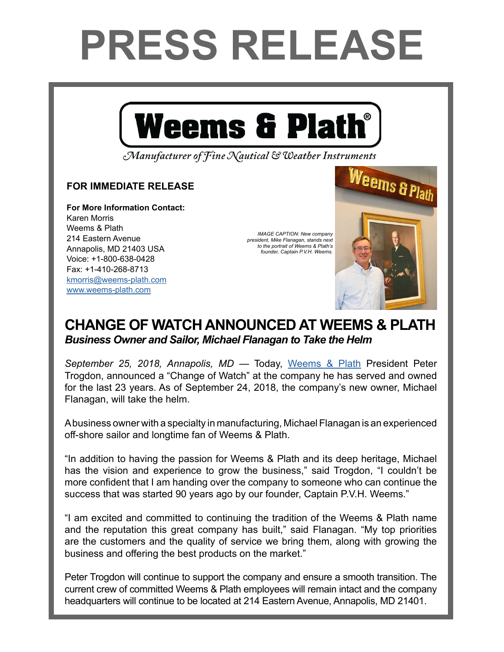## **PRESS RELEASE**



Manufacturer of Fine Nautical & Weather Instruments

## **FOR IMMEDIATE RELEASE**

**For More Information Contact:**  Karen Morris Weems & Plath 214 Eastern Avenue Annapolis, MD 21403 USA Voice: +1-800-638-0428 Fax: +1-410-268-8713 [kmorris@weems-plath.com](mailto:kmorris%40weems-plath.com?subject=Regarding%20Press%20Release) [www.weems-plath.com](http://www.weems-plath.com)

*IMAGE CAPTION: New company president, Mike Flanagan, stands next to the portrait of Weems & Plath's founder, Captain P.V.H. Weems.*

Weems & Plath



*September 25, 2018, Annapolis, MD* — Today, [Weems & Plath](http://www.weems-plath.com/) President Peter Trogdon, announced a "Change of Watch" at the company he has served and owned for the last 23 years. As of September 24, 2018, the company's new owner, Michael Flanagan, will take the helm.

A business owner with a specialty in manufacturing, Michael Flanagan is an experienced off-shore sailor and longtime fan of Weems & Plath.

"In addition to having the passion for Weems & Plath and its deep heritage, Michael has the vision and experience to grow the business," said Trogdon, "I couldn't be more confident that I am handing over the company to someone who can continue the success that was started 90 years ago by our founder, Captain P.V.H. Weems."

"I am excited and committed to continuing the tradition of the Weems & Plath name and the reputation this great company has built," said Flanagan. "My top priorities are the customers and the quality of service we bring them, along with growing the business and offering the best products on the market."

Peter Trogdon will continue to support the company and ensure a smooth transition. The current crew of committed Weems & Plath employees will remain intact and the company headquarters will continue to be located at 214 Eastern Avenue, Annapolis, MD 21401.